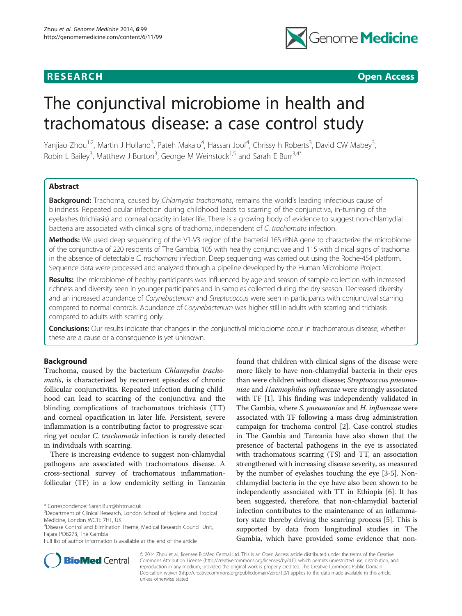## **RESEARCH RESEARCH** *CHECK <b>CHECK*



# The conjunctival microbiome in health and trachomatous disease: a case control study

Yanjiao Zhou<sup>1,2</sup>, Martin J Holland<sup>3</sup>, Pateh Makalo<sup>4</sup>, Hassan Joof<sup>4</sup>, Chrissy h Roberts<sup>3</sup>, David CW Mabey<sup>3</sup> , Robin L Bailey<sup>3</sup>, Matthew J Burton<sup>3</sup>, George M Weinstock<sup>1,5</sup> and Sarah E Burr<sup>3,4\*</sup>

## Abstract

Background: Trachoma, caused by Chlamydia trachomatis, remains the world's leading infectious cause of blindness. Repeated ocular infection during childhood leads to scarring of the conjunctiva, in-turning of the eyelashes (trichiasis) and corneal opacity in later life. There is a growing body of evidence to suggest non-chlamydial bacteria are associated with clinical signs of trachoma, independent of C. trachomatis infection.

Methods: We used deep sequencing of the V1-V3 region of the bacterial 16S rRNA gene to characterize the microbiome of the conjunctiva of 220 residents of The Gambia, 105 with healthy conjunctivae and 115 with clinical signs of trachoma in the absence of detectable C. trachomatis infection. Deep sequencing was carried out using the Roche-454 platform. Sequence data were processed and analyzed through a pipeline developed by the Human Microbiome Project.

Results: The microbiome of healthy participants was influenced by age and season of sample collection with increased richness and diversity seen in younger participants and in samples collected during the dry season. Decreased diversity and an increased abundance of Corynebacterium and Streptococcus were seen in participants with conjunctival scarring compared to normal controls. Abundance of Corynebacterium was higher still in adults with scarring and trichiasis compared to adults with scarring only.

Conclusions: Our results indicate that changes in the conjunctival microbiome occur in trachomatous disease; whether these are a cause or a consequence is yet unknown.

## Background

Trachoma, caused by the bacterium Chlamydia trachomatis, is characterized by recurrent episodes of chronic follicular conjunctivitis. Repeated infection during childhood can lead to scarring of the conjunctiva and the blinding complications of trachomatous trichiasis (TT) and corneal opacification in later life. Persistent, severe inflammation is a contributing factor to progressive scarring yet ocular C. trachomatis infection is rarely detected in individuals with scarring.

There is increasing evidence to suggest non-chlamydial pathogens are associated with trachomatous disease. A cross-sectional survey of trachomatous inflammationfollicular (TF) in a low endemicity setting in Tanzania

\* Correspondence: [Sarah.Burr@lshtm.ac.uk](mailto:Sarah.Burr@lshtm.ac.uk) <sup>3</sup>

found that children with clinical signs of the disease were more likely to have non-chlamydial bacteria in their eyes than were children without disease; Streptococcus pneumoniae and Haemophilus influenzae were strongly associated with TF [\[1\]](#page-9-0). This finding was independently validated in The Gambia, where *S. pneumoniae* and *H. influenzae* were associated with TF following a mass drug administration campaign for trachoma control [\[2](#page-9-0)]. Case-control studies in The Gambia and Tanzania have also shown that the presence of bacterial pathogens in the eye is associated with trachomatous scarring (TS) and TT, an association strengthened with increasing disease severity, as measured by the number of eyelashes touching the eye [\[3](#page-9-0)-[5\]](#page-9-0). Nonchlamydial bacteria in the eye have also been shown to be independently associated with TT in Ethiopia [[6](#page-9-0)]. It has been suggested, therefore, that non-chlamydial bacterial infection contributes to the maintenance of an inflammatory state thereby driving the scarring process [[5\]](#page-9-0). This is supported by data from longitudinal studies in The Gambia, which have provided some evidence that non-



© 2014 Zhou et al.; licensee BioMed Central Ltd. This is an Open Access article distributed under the terms of the Creative Commons Attribution License [\(http://creativecommons.org/licenses/by/4.0\)](http://creativecommons.org/licenses/by/4.0), which permits unrestricted use, distribution, and reproduction in any medium, provided the original work is properly credited. The Creative Commons Public Domain Dedication waiver [\(http://creativecommons.org/publicdomain/zero/1.0/](http://creativecommons.org/publicdomain/zero/1.0/)) applies to the data made available in this article, unless otherwise stated.

<sup>&</sup>lt;sup>3</sup>Department of Clinical Research, London School of Hygiene and Tropical Medicine, London WC1E 7HT, UK

<sup>4</sup> Disease Control and Elimination Theme, Medical Research Council Unit, Fajara POB273, The Gambia

Full list of author information is available at the end of the article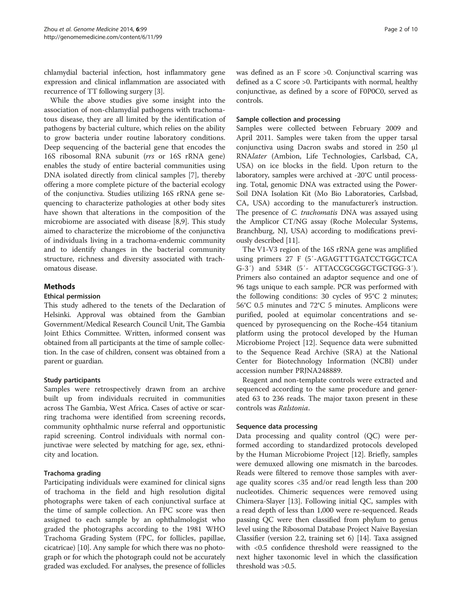chlamydial bacterial infection, host inflammatory gene expression and clinical inflammation are associated with recurrence of TT following surgery [\[3](#page-9-0)].

While the above studies give some insight into the association of non-chlamydial pathogens with trachomatous disease, they are all limited by the identification of pathogens by bacterial culture, which relies on the ability to grow bacteria under routine laboratory conditions. Deep sequencing of the bacterial gene that encodes the 16S ribosomal RNA subunit (rrs or 16S rRNA gene) enables the study of entire bacterial communities using DNA isolated directly from clinical samples [\[7](#page-9-0)], thereby offering a more complete picture of the bacterial ecology of the conjunctiva. Studies utilizing 16S rRNA gene sequencing to characterize pathologies at other body sites have shown that alterations in the composition of the microbiome are associated with disease [\[8](#page-9-0),[9](#page-9-0)]. This study aimed to characterize the microbiome of the conjunctiva of individuals living in a trachoma-endemic community and to identify changes in the bacterial community structure, richness and diversity associated with trachomatous disease.

## **Methods**

## Ethical permission

This study adhered to the tenets of the Declaration of Helsinki. Approval was obtained from the Gambian Government/Medical Research Council Unit, The Gambia Joint Ethics Committee. Written, informed consent was obtained from all participants at the time of sample collection. In the case of children, consent was obtained from a parent or guardian.

## Study participants

Samples were retrospectively drawn from an archive built up from individuals recruited in communities across The Gambia, West Africa. Cases of active or scarring trachoma were identified from screening records, community ophthalmic nurse referral and opportunistic rapid screening. Control individuals with normal conjunctivae were selected by matching for age, sex, ethnicity and location.

## Trachoma grading

Participating individuals were examined for clinical signs of trachoma in the field and high resolution digital photographs were taken of each conjunctival surface at the time of sample collection. An FPC score was then assigned to each sample by an ophthalmologist who graded the photographs according to the 1981 WHO Trachoma Grading System (FPC, for follicles, papillae, cicatricae) [[10](#page-9-0)]. Any sample for which there was no photograph or for which the photograph could not be accurately graded was excluded. For analyses, the presence of follicles

was defined as an F score >0. Conjunctival scarring was defined as a C score >0. Participants with normal, healthy conjunctivae, as defined by a score of F0P0C0, served as controls.

## Sample collection and processing

Samples were collected between February 2009 and April 2011. Samples were taken from the upper tarsal conjunctiva using Dacron swabs and stored in 250 μl RNAlater (Ambion, Life Technologies, Carlsbad, CA, USA) on ice blocks in the field. Upon return to the laboratory, samples were archived at -20°C until processing. Total, genomic DNA was extracted using the Power-Soil DNA Isolation Kit (Mo Bio Laboratories, Carlsbad, CA, USA) according to the manufacturer's instruction. The presence of *C. trachomatis* DNA was assayed using the Amplicor CT/NG assay (Roche Molecular Systems, Branchburg, NJ, USA) according to modifications previously described [[11](#page-9-0)].

The V1-V3 region of the 16S rRNA gene was amplified using primers 27 F (5′-AGAGTTTGATCCTGGCTCA G-3′) and 534R (5′- ATTACCGCGGCTGCTGG-3′). Primers also contained an adaptor sequence and one of 96 tags unique to each sample. PCR was performed with the following conditions: 30 cycles of 95°C 2 minutes; 56°C 0.5 minutes and 72°C 5 minutes. Amplicons were purified, pooled at equimolar concentrations and sequenced by pyrosequencing on the Roche-454 titanium platform using the protocol developed by the Human Microbiome Project [[12\]](#page-9-0). Sequence data were submitted to the Sequence Read Archive (SRA) at the National Center for Biotechnology Information (NCBI) under accession number PRJNA248889.

Reagent and non-template controls were extracted and sequenced according to the same procedure and generated 63 to 236 reads. The major taxon present in these controls was Ralstonia.

## Sequence data processing

Data processing and quality control (QC) were performed according to standardized protocols developed by the Human Microbiome Project [\[12](#page-9-0)]. Briefly, samples were demuxed allowing one mismatch in the barcodes. Reads were filtered to remove those samples with average quality scores <35 and/or read length less than 200 nucleotides. Chimeric sequences were removed using Chimera-Slayer [[13](#page-9-0)]. Following initial QC, samples with a read depth of less than 1,000 were re-sequenced. Reads passing QC were then classified from phylum to genus level using the Ribosomal Database Project Naive Bayesian Classifier (version 2.2, training set 6) [\[14\]](#page-9-0). Taxa assigned with <0.5 confidence threshold were reassigned to the next higher taxonomic level in which the classification threshold was >0.5.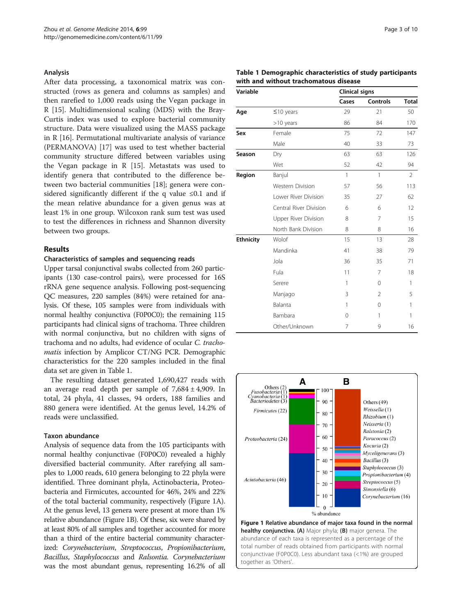#### Analysis

After data processing, a taxonomical matrix was constructed (rows as genera and columns as samples) and then rarefied to 1,000 reads using the Vegan package in R [\[15\]](#page-9-0). Multidimensional scaling (MDS) with the Bray-Curtis index was used to explore bacterial community structure. Data were visualized using the MASS package in R [[16\]](#page-9-0). Permutational multivariate analysis of variance (PERMANOVA) [\[17](#page-9-0)] was used to test whether bacterial community structure differed between variables using the Vegan package in R [[15\]](#page-9-0). Metastats was used to identify genera that contributed to the difference between two bacterial communities [\[18](#page-9-0)]; genera were considered significantly different if the q value ≤0.1 and if the mean relative abundance for a given genus was at least 1% in one group. Wilcoxon rank sum test was used to test the differences in richness and Shannon diversity between two groups.

#### Results

## Characteristics of samples and sequencing reads

Upper tarsal conjunctival swabs collected from 260 participants (130 case-control pairs), were processed for 16S rRNA gene sequence analysis. Following post-sequencing QC measures, 220 samples (84%) were retained for analysis. Of these, 105 samples were from individuals with normal healthy conjunctiva (F0P0C0); the remaining 115 participants had clinical signs of trachoma. Three children with normal conjunctiva, but no children with signs of trachoma and no adults, had evidence of ocular C. trachomatis infection by Amplicor CT/NG PCR. Demographic characteristics for the 220 samples included in the final data set are given in Table 1.

The resulting dataset generated 1,690,427 reads with an average read depth per sample of  $7,684 \pm 4,909$ . In total, 24 phyla, 41 classes, 94 orders, 188 families and 880 genera were identified. At the genus level, 14.2% of reads were unclassified.

## Taxon abundance

Analysis of sequence data from the 105 participants with normal healthy conjunctivae (F0P0C0) revealed a highly diversified bacterial community. After rarefying all samples to 1,000 reads, 610 genera belonging to 22 phyla were identified. Three dominant phyla, Actinobacteria, Proteobacteria and Firmicutes, accounted for 46%, 24% and 22% of the total bacterial community, respectively (Figure 1A). At the genus level, 13 genera were present at more than 1% relative abundance (Figure 1B). Of these, six were shared by at least 80% of all samples and together accounted for more than a third of the entire bacterial community characterized: Corynebacterium, Streptococcus, Propionibacterium, Bacillus, Staphylococcus and Ralsontia. Corynebacterium was the most abundant genus, representing 16.2% of all

#### Table 1 Demographic characteristics of study participants with and without trachomatous disease

| Variable         |                         | <b>Clinical signs</b> |                 |                |  |
|------------------|-------------------------|-----------------------|-----------------|----------------|--|
|                  |                         | Cases                 | <b>Controls</b> | <b>Total</b>   |  |
| Age              | $\leq$ 10 years         | 29                    | 21              | 50             |  |
|                  | $>10$ years             | 86                    | 84              | 170            |  |
| Sex              | Female                  | 75                    | 72              | 147            |  |
|                  | Male                    | 40                    | 33              | 73             |  |
| Season           | Dry                     | 63                    | 63              | 126            |  |
|                  | Wet                     | 52                    | 42              | 94             |  |
| Region           | Banjul                  | $\mathbf{1}$          | $\mathbf{1}$    | $\overline{2}$ |  |
|                  | <b>Western Division</b> | 57                    | 56              | 113            |  |
|                  | Lower River Division    | 35                    | 27              | 62             |  |
|                  | Central River Division  | 6                     | 6               | 12             |  |
|                  | Upper River Division    | 8                     | 7               | 15             |  |
|                  | North Bank Division     | 8                     | 8               | 16             |  |
| <b>Ethnicity</b> | Wolof                   | 15                    | 13              | 28             |  |
|                  | Mandinka                | 41                    | 38              | 79             |  |
|                  | Jola                    | 36                    | 35              | 71             |  |
|                  | Fula                    | 11                    | 7               | 18             |  |
|                  | Serere                  | 1                     | $\Omega$        | 1              |  |
|                  | Manjago                 | 3                     | $\overline{2}$  | 5              |  |
|                  | Balanta                 | 1                     | 0               | 1              |  |
|                  | Bambara                 | $\Omega$              | 1               | 1              |  |
|                  | Other/Unknown           | 7                     | 9               | 16             |  |



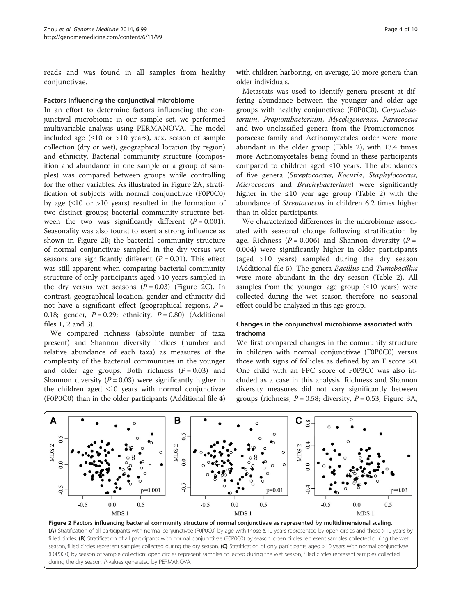reads and was found in all samples from healthy conjunctivae.

#### Factors influencing the conjunctival microbiome

In an effort to determine factors influencing the conjunctival microbiome in our sample set, we performed multivariable analysis using PERMANOVA. The model included age  $(≤10$  or >10 years), sex, season of sample collection (dry or wet), geographical location (by region) and ethnicity. Bacterial community structure (composition and abundance in one sample or a group of samples) was compared between groups while controlling for the other variables. As illustrated in Figure 2A, stratification of subjects with normal conjunctivae (F0P0C0) by age  $(\leq 10$  or  $> 10$  years) resulted in the formation of two distinct groups; bacterial community structure between the two was significantly different  $(P = 0.001)$ . Seasonality was also found to exert a strong influence as shown in Figure 2B; the bacterial community structure of normal conjunctivae sampled in the dry versus wet seasons are significantly different  $(P = 0.01)$ . This effect was still apparent when comparing bacterial community structure of only participants aged >10 years sampled in the dry versus wet seasons  $(P = 0.03)$  (Figure 2C). In contrast, geographical location, gender and ethnicity did not have a significant effect (geographical regions,  $P =$ 0.18; gender,  $P = 0.29$ ; ethnicity,  $P = 0.80$ ) (Additional files [1, 2](#page-8-0) and [3\)](#page-8-0).

We compared richness (absolute number of taxa present) and Shannon diversity indices (number and relative abundance of each taxa) as measures of the complexity of the bacterial communities in the younger and older age groups. Both richness  $(P = 0.03)$  and Shannon diversity ( $P = 0.03$ ) were significantly higher in the children aged ≤10 years with normal conjunctivae (F0P0C0) than in the older participants (Additional file [4](#page-8-0)) with children harboring, on average, 20 more genera than older individuals.

Metastats was used to identify genera present at differing abundance between the younger and older age groups with healthy conjunctivae (F0P0C0). Corynebacterium, Propionibacterium, Myceligenerans, Paracoccus and two unclassified genera from the Promicromonosporaceae family and Actinomycetales order were more abundant in the older group (Table [2](#page-4-0)), with 13.4 times more Actinomycetales being found in these participants compared to children aged  $\leq 10$  years. The abundances of five genera (Streptococcus, Kocuria, Staphylococcus, Micrococcus and Brachybacterium) were significantly higher in the ≤10 year age group (Table [2\)](#page-4-0) with the abundance of Streptococcus in children 6.2 times higher than in older participants.

We characterized differences in the microbiome associated with seasonal change following stratification by age. Richness ( $P = 0.006$ ) and Shannon diversity ( $P =$ 0.004) were significantly higher in older participants (aged >10 years) sampled during the dry season (Additional file [5\)](#page-8-0). The genera Bacillus and Tumebacillus were more abundant in the dry season (Table [2](#page-4-0)). All samples from the younger age group  $(\leq 10$  years) were collected during the wet season therefore, no seasonal effect could be analyzed in this age group.

## Changes in the conjunctival microbiome associated with trachoma

We first compared changes in the community structure in children with normal conjunctivae (F0P0C0) versus those with signs of follicles as defined by an F score >0. One child with an FPC score of F0P3C0 was also included as a case in this analysis. Richness and Shannon diversity measures did not vary significantly between groups (richness,  $P = 0.58$ ; diversity,  $P = 0.53$ ; Figure [3](#page-5-0)A,



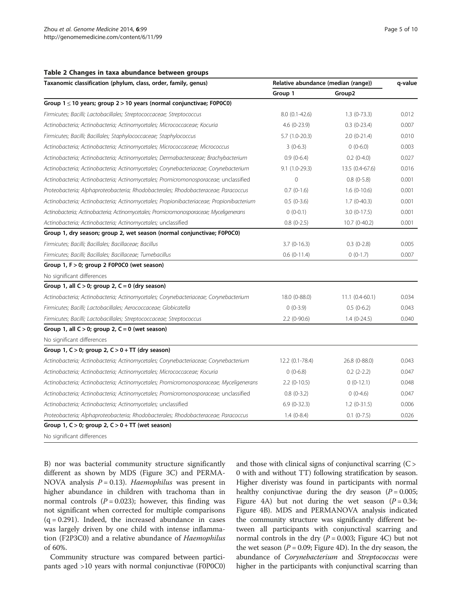#### <span id="page-4-0"></span>Table 2 Changes in taxa abundance between groups

| Taxanomic classification (phylum, class, order, family, genus)                           | Relative abundance (median (range)) | q-value            |       |
|------------------------------------------------------------------------------------------|-------------------------------------|--------------------|-------|
|                                                                                          | Group 1                             | Group <sub>2</sub> |       |
| Group $1 \le 10$ years; group $2 > 10$ years (normal conjunctivae; F0P0C0)               |                                     |                    |       |
| Firmicutes; Bacilli; Lactobacillales; Streptococcaceae; Streptococcus                    | $8.0(0.1-42.6)$                     | $1.3(0-73.3)$      | 0.012 |
| Actinobacteria; Actinobacteria; Actinomycetales; Micrococcaceae; Kocuria                 | $4.6(0-23.9)$                       | $0.3(0-23.4)$      | 0.007 |
| Firmicutes; Bacilli; Bacillales; Staphylococcaceae; Staphylococcus                       | $5.7(1.0-20.3)$                     | $2.0(0-21.4)$      | 0.010 |
| Actinobacteria; Actinobacteria; Actinomycetales; Micrococcaceae; Micrococcus             | $3(0-6.3)$                          | $0(0-6.0)$         | 0.003 |
| Actinobacteria; Actinobacteria; Actinomycetales; Dermabacteraceae; Brachybacterium       | $0.9(0-6.4)$                        | $0.2$ (0-4.0)      | 0.027 |
| Actinobacteria; Actinobacteria; Actinomycetales; Corynebacteriaceae; Corynebacterium     | $9.1(1.0-29.3)$                     | 13.5 (0.4-67.6)    | 0.016 |
| Actinobacteria; Actinobacteria; Actinomycetales; Promicromonosporaceae; unclassified     | $\mathbf{0}$                        | $0.8(0-5.8)$       | 0.001 |
| Proteobacteria; Alphaproteobacteria; Rhodobacterales; Rhodobacteraceae; Paracoccus       | $0.7(0-1.6)$                        | $1.6(0-10.6)$      | 0.001 |
| Actinobacteria; Actinobacteria; Actinomycetales; Propionibacteriaceae; Propionibacterium | $0.5(0-3.6)$                        | $1.7(0-40.3)$      | 0.001 |
| Actinobacteria; Actinobacteria; Actinomycetales; Promicromonosporaceae; Myceligenerans   | $0(0-0.1)$                          | $3.0$ (0-17.5)     | 0.001 |
| Actinobacteria; Actinobacteria; Actinomycetales; unclassified                            | $0.8(0-2.5)$                        | 10.7 (0-40.2)      | 0.001 |
| Group 1, dry season; group 2, wet season (normal conjunctivae; F0P0C0)                   |                                     |                    |       |
| Firmicutes; Bacilli; Bacillales; Bacillaceae; Bacillus                                   | $3.7(0-16.3)$                       | $0.3(0-2.8)$       | 0.005 |
| Firmicutes; Bacilli; Bacillales; Bacillaceae; Tumebacillus                               | $0.6$ (0-11.4)                      | $0(0-1.7)$         | 0.007 |
| Group 1, F > 0; group 2 F0P0C0 (wet season)                                              |                                     |                    |       |
| No significant differences                                                               |                                     |                    |       |
| Group 1, all $C > 0$ ; group 2, $C = 0$ (dry season)                                     |                                     |                    |       |
| Actinobacteria; Actinobacteria; Actinomycetales; Corynebacteriaceae; Corynebacterium     | 18.0 (0-88.0)                       | $11.1(0.4-60.1)$   | 0.034 |
| Firmicutes; Bacilli; Lactobacillales; Aerococcaceae; Globicatella                        | $0(0-3.9)$                          | $0.5(0-6.2)$       | 0.043 |
| Firmicutes; Bacilli; Lactobacillales; Streptococcaceae; Streptococcus                    | $2.2$ (0-90.6)                      | $1.4(0-24.5)$      | 0.040 |
| Group 1, all $C > 0$ ; group 2, $C = 0$ (wet season)                                     |                                     |                    |       |
| No significant differences                                                               |                                     |                    |       |
| Group 1, $C > 0$ ; group 2, $C > 0 + TT$ (dry season)                                    |                                     |                    |       |
| Actinobacteria; Actinobacteria; Actinomycetales; Corynebacteriaceae; Corynebacterium     | 12.2 (0.1-78.4)                     | 26.8 (0-88.0)      | 0.043 |
| Actinobacteria; Actinobacteria; Actinomycetales; Micrococcaceae; Kocuria                 | $0(0-6.8)$                          | $0.2$ (2-2.2)      | 0.047 |
| Actinobacteria; Actinobacteria; Actinomycetales; Promicromonosporaceae; Myceligenerans   | $2.2$ (0-10.5)                      | $0(0-12.1)$        | 0.048 |
| Actinobacteria; Actinobacteria; Actinomycetales; Promicromonosporaceae; unclassified     | $0.8(0-3.2)$                        | $0(0-4.6)$         | 0.047 |
| Actinobacteria; Actinobacteria; Actinomycetales; unclassified                            | $6.9(0-32.3)$                       | $1.2(0-31.5)$      | 0.006 |
| Proteobacteria; Alphaproteobacteria; Rhodobacterales; Rhodobacteraceae; Paracoccus       | $1.4(0-8.4)$                        | $0.1$ (0-7.5)      | 0.026 |
| Group 1, $C > 0$ ; group 2, $C > 0 + TT$ (wet season)                                    |                                     |                    |       |
| No significant differences                                                               |                                     |                    |       |

B) nor was bacterial community structure significantly different as shown by MDS (Figure [3](#page-5-0)C) and PERMA-NOVA analysis  $P = 0.13$ ). Haemophilus was present in higher abundance in children with trachoma than in normal controls  $(P = 0.023)$ ; however, this finding was not significant when corrected for multiple comparisons  $(q = 0.291)$ . Indeed, the increased abundance in cases was largely driven by one child with intense inflammation (F2P3C0) and a relative abundance of Haemophilus of 60%.

Community structure was compared between participants aged >10 years with normal conjunctivae (F0P0C0) and those with clinical signs of conjunctival scarring (C > 0 with and without TT) following stratification by season. Higher diveristy was found in participants with normal healthy conjunctivae during the dry season ( $P = 0.005$ ; Figure [4](#page-5-0)A) but not during the wet season  $(P = 0.34;$ Figure [4B](#page-5-0)). MDS and PERMANOVA analysis indicated the community structure was significantly different between all participants with conjunctival scarring and normal controls in the dry  $(P = 0.003;$  Figure [4](#page-5-0)C) but not the wet season ( $P = 0.09$ ; Figure [4D](#page-5-0)). In the dry season, the abundance of Corynebacterium and Streptococcus were higher in the participants with conjunctival scarring than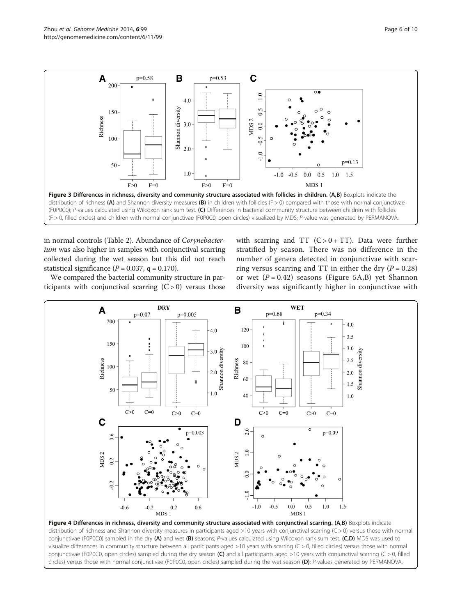<span id="page-5-0"></span>

in normal controls (Table [2](#page-4-0)). Abundance of Corynebacterium was also higher in samples with conjunctival scarring collected during the wet season but this did not reach statistical significance ( $P = 0.037$ , q = 0.170).

with scarring and TT  $(C > 0 + TT)$ . Data were further stratified by season. There was no difference in the number of genera detected in conjunctivae with scarring versus scarring and TT in either the dry  $(P = 0.28)$ or wet  $(P = 0.42)$  seasons (Figure [5](#page-6-0)A,B) yet Shannon diversity was significantly higher in conjunctivae with

We compared the bacterial community structure in participants with conjunctival scarring  $(C > 0)$  versus those



Figure 4 Differences in richness, diversity and community structure associated with conjunctival scarring. (A,B) Boxplots indicate distribution of richness and Shannon diversity measures in participants aged >10 years with conjunctival scarring (C > 0) versus those with normal conjunctivae (F0P0C0) sampled in the dry (A) and wet (B) seasons; P-values calculated using Wilcoxon rank sum test. (C,D) MDS was used to visualize differences in community structure between all participants aged >10 years with scarring (C > 0, filled circles) versus those with normal conjunctivae (FOPOCO, open circles) sampled during the dry season (C) and all participants aged >10 years with conjunctival scarring (C > 0, filled circles) versus those with normal conjunctivae (F0P0C0, open circles) sampled during the wet season (D); P-values generated by PERMANOVA.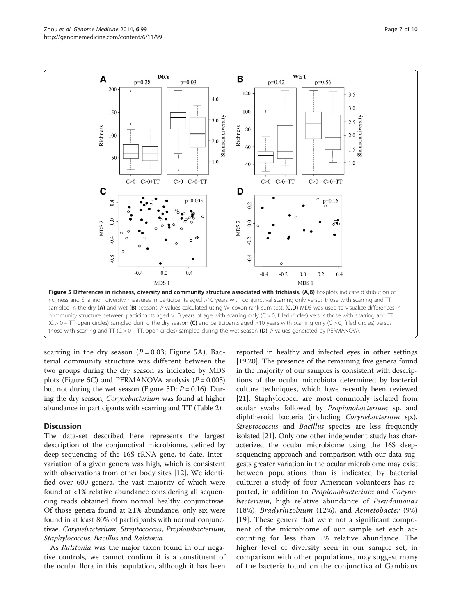<span id="page-6-0"></span>

scarring in the dry season ( $P = 0.03$ ; Figure 5A). Bacterial community structure was different between the two groups during the dry season as indicated by MDS plots (Figure 5C) and PERMANOVA analysis ( $P = 0.005$ ) but not during the wet season (Figure 5D;  $P = 0.16$ ). During the dry season, Corynebacterium was found at higher abundance in participants with scarring and TT (Table [2](#page-4-0)).

#### **Discussion**

The data-set described here represents the largest description of the conjunctival microbiome, defined by deep-sequencing of the 16S rRNA gene, to date. Intervariation of a given genera was high, which is consistent with observations from other body sites [[12](#page-9-0)]. We identified over 600 genera, the vast majority of which were found at <1% relative abundance considering all sequencing reads obtained from normal healthy conjunctivae. Of those genera found at  $\geq$ 1% abundance, only six were found in at least 80% of participants with normal conjunctivae, Corynebacterium, Streptococcus, Propionibacterium, Staphylococcus, Bacillus and Ralstonia.

As Ralstonia was the major taxon found in our negative controls, we cannot confirm it is a constituent of the ocular flora in this population, although it has been

reported in healthy and infected eyes in other settings [[19,20\]](#page-9-0). The presence of the remaining five genera found in the majority of our samples is consistent with descriptions of the ocular microbiota determined by bacterial culture techniques, which have recently been reviewed [[21\]](#page-9-0). Staphylococci are most commonly isolated from ocular swabs followed by Propionobacterium sp. and diphtheroid bacteria (including Corynebacterium sp.). Streptococcus and Bacillus species are less frequently isolated [\[21\]](#page-9-0). Only one other independent study has characterized the ocular microbiome using the 16S deepsequencing approach and comparison with our data suggests greater variation in the ocular microbiome may exist between populations than is indicated by bacterial culture; a study of four American volunteers has reported, in addition to Propionobacterium and Corynebacterium, high relative abundance of Pseudomonas (18%), Bradyrhizobium (12%), and Acinetobacter (9%) [[19](#page-9-0)]. These genera that were not a significant component of the microbiome of our sample set each accounting for less than 1% relative abundance. The higher level of diversity seen in our sample set, in comparison with other populations, may suggest many of the bacteria found on the conjunctiva of Gambians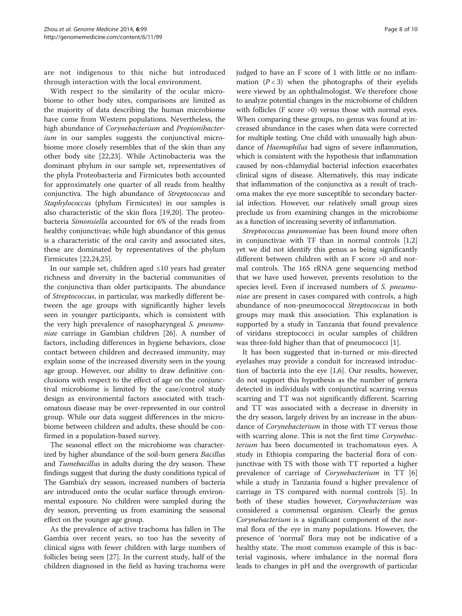are not indigenous to this niche but introduced through interaction with the local environment.

With respect to the similarity of the ocular microbiome to other body sites, comparisons are limited as the majority of data describing the human microbiome have come from Western populations. Nevertheless, the high abundance of *Corynebacterium* and *Propionibacter*ium in our samples suggests the conjunctival microbiome more closely resembles that of the skin than any other body site [[22](#page-9-0),[23](#page-9-0)]. While Actinobacteria was the dominant phylum in our sample set, representatives of the phyla Proteobacteria and Firmicutes both accounted for approximately one quarter of all reads from healthy conjunctiva. The high abundance of Streptococcus and Staphylococcus (phylum Firmicutes) in our samples is also characteristic of the skin flora [\[19,20](#page-9-0)]. The proteobacteria Simonsiella accounted for 6% of the reads from healthy conjunctivae; while high abundance of this genus is a characteristic of the oral cavity and associated sites, these are dominated by representatives of the phylum Firmicutes [[22,24,25\]](#page-9-0).

In our sample set, children aged ≤10 years had greater richness and diversity in the bacterial communities of the conjunctiva than older participants. The abundance of Streptococcus, in particular, was markedly different between the age groups with significantly higher levels seen in younger participants, which is consistent with the very high prevalence of nasopharyngeal S. pneumoniae carriage in Gambian children [\[26](#page-9-0)]. A number of factors, including differences in hygiene behaviors, close contact between children and decreased immunity, may explain some of the increased diversity seen in the young age group. However, our ability to draw definitive conclusions with respect to the effect of age on the conjunctival microbiome is limited by the case/control study design as environmental factors associated with trachomatous disease may be over-represented in our control group. While our data suggest differences in the microbiome between children and adults, these should be confirmed in a population-based survey.

The seasonal effect on the microbiome was characterized by higher abundance of the soil-born genera *Bacillus* and Tumebacillus in adults during the dry season. These findings suggest that during the dusty conditions typical of The Gambia's dry season, increased numbers of bacteria are introduced onto the ocular surface through environmental exposure. No children were sampled during the dry season, preventing us from examining the seasonal effect on the younger age group.

As the prevalence of active trachoma has fallen in The Gambia over recent years, so too has the severity of clinical signs with fewer children with large numbers of follicles being seen [[27](#page-9-0)]. In the current study, half of the children diagnosed in the field as having trachoma were judged to have an F score of 1 with little or no inflammation  $(P < 3)$  when the photographs of their eyelids were viewed by an ophthalmologist. We therefore chose to analyze potential changes in the microbiome of children with follicles (F score >0) versus those with normal eyes. When comparing these groups, no genus was found at increased abundance in the cases when data were corrected for multiple testing. One child with unusually high abundance of Haemophilus had signs of severe inflammation, which is consistent with the hypothesis that inflammation caused by non-chlamydial bacterial infection exacerbates clinical signs of disease. Alternatively, this may indicate that inflammation of the conjunctiva as a result of trachoma makes the eye more susceptible to secondary bacterial infection. However, our relatively small group sizes preclude us from examining changes in the microbiome as a function of increasing severity of inflammation.

Streptococcus pneumoniae has been found more often in conjunctivae with TF than in normal controls [\[1,2](#page-9-0)] yet we did not identify this genus as being significantly different between children with an F score >0 and normal controls. The 16S rRNA gene sequencing method that we have used however, prevents resolution to the species level. Even if increased numbers of S. pneumoniae are present in cases compared with controls, a high abundance of non-pneumococcal Streptococcus in both groups may mask this association. This explanation is supported by a study in Tanzania that found prevalence of viridans streptococci in ocular samples of children was three-fold higher than that of pneumococci [[1\]](#page-9-0).

It has been suggested that in-turned or mis-directed eyelashes may provide a conduit for increased introduction of bacteria into the eye [[1,6\]](#page-9-0). Our results, however, do not support this hypothesis as the number of genera detected in individuals with conjunctival scarring versus scarring and TT was not significantly different. Scarring and TT was associated with a decrease in diversity in the dry season, largely driven by an increase in the abundance of Corynebacterium in those with TT versus those with scarring alone. This is not the first time *Corynebac*terium has been documented in trachomatous eyes. A study in Ethiopia comparing the bacterial flora of conjunctivae with TS with those with TT reported a higher prevalence of carriage of Corynebacterium in TT [\[6](#page-9-0)] while a study in Tanzania found a higher prevalence of carriage in TS compared with normal controls [[5\]](#page-9-0). In both of these studies however, Corynebacterium was considered a commensal organism. Clearly the genus Corynebacterium is a significant component of the normal flora of the eye in many populations. However, the presence of 'normal' flora may not be indicative of a healthy state. The most common example of this is bacterial vaginosis, where imbalance in the normal flora leads to changes in pH and the overgrowth of particular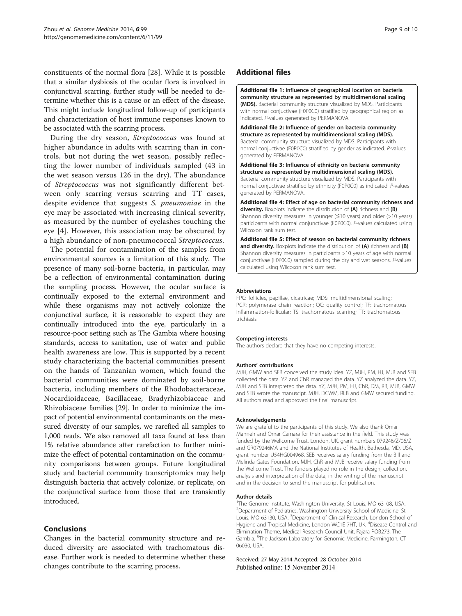<span id="page-8-0"></span>constituents of the normal flora [[28\]](#page-9-0). While it is possible that a similar dysbiosis of the ocular flora is involved in conjunctival scarring, further study will be needed to determine whether this is a cause or an effect of the disease. This might include longitudinal follow-up of participants and characterization of host immune responses known to be associated with the scarring process.

During the dry season, Streptococcus was found at higher abundance in adults with scarring than in controls, but not during the wet season, possibly reflecting the lower number of individuals sampled (43 in the wet season versus 126 in the dry). The abundance of Streptococcus was not significantly different between only scarring versus scarring and TT cases, despite evidence that suggests S. pneumoniae in the eye may be associated with increasing clinical severity, as measured by the number of eyelashes touching the eye [\[4](#page-9-0)]. However, this association may be obscured by a high abundance of non-pneumococcal Streptococcus.

The potential for contamination of the samples from environmental sources is a limitation of this study. The presence of many soil-borne bacteria, in particular, may be a reflection of environmental contamination during the sampling process. However, the ocular surface is continually exposed to the external environment and while these organisms may not actively colonize the conjunctival surface, it is reasonable to expect they are continually introduced into the eye, particularly in a resource-poor setting such as The Gambia where housing standards, access to sanitation, use of water and public health awareness are low. This is supported by a recent study characterizing the bacterial communities present on the hands of Tanzanian women, which found the bacterial communities were dominated by soil-borne bacteria, including members of the Rhodobacteraceae, Nocardioidaceae, Bacillaceae, Bradyrhizobiaceae and Rhizobiaceae families [\[29\]](#page-9-0). In order to minimize the impact of potential environmental contaminants on the measured diversity of our samples, we rarefied all samples to 1,000 reads. We also removed all taxa found at less than 1% relative abundance after rarefaction to further minimize the effect of potential contamination on the community comparisons between groups. Future longitudinal study and bacterial community transcriptomics may help distinguish bacteria that actively colonize, or replicate, on the conjunctival surface from those that are transiently introduced.

#### Conclusions

Changes in the bacterial community structure and reduced diversity are associated with trachomatous disease. Further work is needed to determine whether these changes contribute to the scarring process.

## Additional files

[Additional file 1:](http://genomemedicine.com/content/supplementary/s13073-014-0099-x-s1.pdf) Influence of geographical location on bacteria community structure as represented by multidimensional scaling (MDS). Bacterial community structure visualized by MDS. Participants with normal conjuctivae (F0P0C0) stratified by geographical region as indicated. P-values generated by PERMANOVA.

[Additional file 2:](http://genomemedicine.com/content/supplementary/s13073-014-0099-x-s2.pdf) Influence of gender on bacteria community structure as represented by multidimensional scaling (MDS). Bacterial community structure visualized by MDS. Participants with normal conjuctivae (F0P0C0) stratified by gender as indicated. P-values generated by PERMANOVA.

[Additional file 3:](http://genomemedicine.com/content/supplementary/s13073-014-0099-x-s3.pdf) Influence of ethnicity on bacteria community structure as represented by multidimensional scaling (MDS). Bacterial community structure visualized by MDS. Participants with normal conjuctivae stratified by ethnicity (F0P0C0) as indicated. P-values generated by PERMANOVA.

[Additional file 4:](http://genomemedicine.com/content/supplementary/s13073-014-0099-x-s4.pdf) Effect of age on bacterial community richness and diversity. Boxplots indicate the distribution of (A) richness and (B) Shannon diversity measures in younger (≤10 years) and older (>10 years) participants with normal conjunctivae (F0P0C0). P-values calculated using Wilcoxon rank sum test.

[Additional file 5:](http://genomemedicine.com/content/supplementary/s13073-014-0099-x-s5.pdf) Effect of season on bacterial community richness and diversity. Boxplots indicate the distribution of (A) richness and (B) Shannon diversity measures in participants >10 years of age with normal conjunctivae (F0P0C0) sampled during the dry and wet seasons. P-values calculated using Wilcoxon rank sum test.

#### Abbreviations

FPC: follicles, papillae, cicatricae; MDS: multidimensional scaling; PCR: polymerase chain reaction; QC: quality control; TF: trachomatous inflammation-follicular; TS: trachomatous scarring; TT: trachomatous trichiasis.

#### Competing interests

The authors declare that they have no competing interests.

#### Authors' contributions

MJH, GMW and SEB conceived the study idea. YZ, MJH, PM, HJ, MJB and SEB collected the data. YZ and ChR managed the data. YZ analyzed the data. YZ, MJH and SEB interpreted the data. YZ, MJH, PM, HJ, ChR, DM, RB, MJB, GMW and SEB wrote the manuscipt. MJH, DCWM, RLB and GMW secured funding. All authors read and approved the final manuscript.

#### Acknowledgements

We are grateful to the participants of this study. We also thank Omar Manneh and Omar Camara for their assistance in the field. This study was funded by the Wellcome Trust, London, UK, grant numbers 079246/Z/06/Z and GR079246MA and the National Institutes of Health, Bethesda, MD, USA, grant number U54HG004968. SEB receives salary funding from the Bill and Melinda Gates Foundation. MJH, ChR and MJB receive salary funding from the Wellcome Trust. The funders played no role in the design, collection, analysis and interpretation of the data, in the writing of the manuscript and in the decision to send the manuscript for publication.

#### Author details

<sup>1</sup>The Genome Institute, Washington University, St Louis, MO 63108, USA. <sup>2</sup> Department of Pediatrics, Washington University School of Medicine, St Louis, MO 63130, USA. <sup>3</sup>Department of Clinical Research, London School of Hygiene and Tropical Medicine, London WC1E 7HT, UK. <sup>4</sup> Disease Control and Elimination Theme, Medical Research Council Unit, Fajara POB273, The Gambia. <sup>5</sup>The Jackson Laboratory for Genomic Medicine, Farmington, CT 06030, USA.

Received: 27 May 2014 Accepted: 28 October 2014 Published online: 15 November 2014